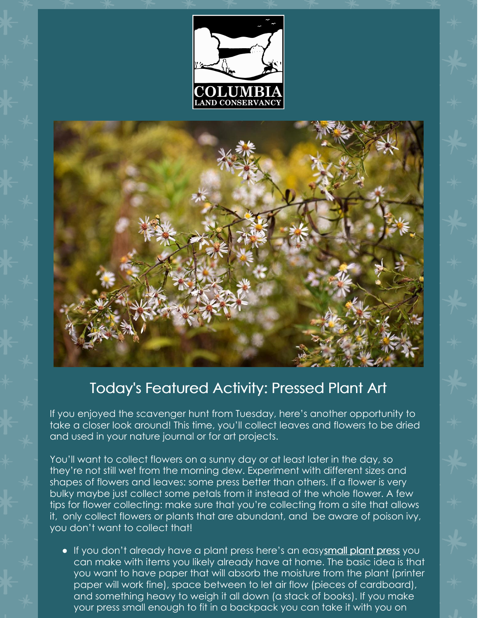



## Today's Featured Activity: Pressed Plant Art

If you enjoyed the scavenger hunt from Tuesday, here's another opportunity to take a closer look around! This time, you'll collect leaves and flowers to be dried and used in your nature journal or for art projects.

You'll want to collect flowers on a sunny day or at least later in the day, so they're not still wet from the morning dew. Experiment with different sizes and shapes of flowers and leaves: some press better than others. If a flower is very bulky maybe just collect some petals from it instead of the whole flower. A few tips for flower collecting: make sure that you're collecting from a site that allows it, only collect flowers or plants that are abundant, and be aware of poison ivy, you don't want to collect that!

If you don't already have a plant press here's an easysmall [plant](https://youtu.be/LyuK6qwlqBg) press you can make with items you likely already have at home. The basic idea is that you want to have paper that will absorb the moisture from the plant (printer paper will work fine), space between to let air flow (pieces of cardboard), and something heavy to weigh it all down (a stack of books). If you make your press small enough to fit in a backpack you can take it with you on